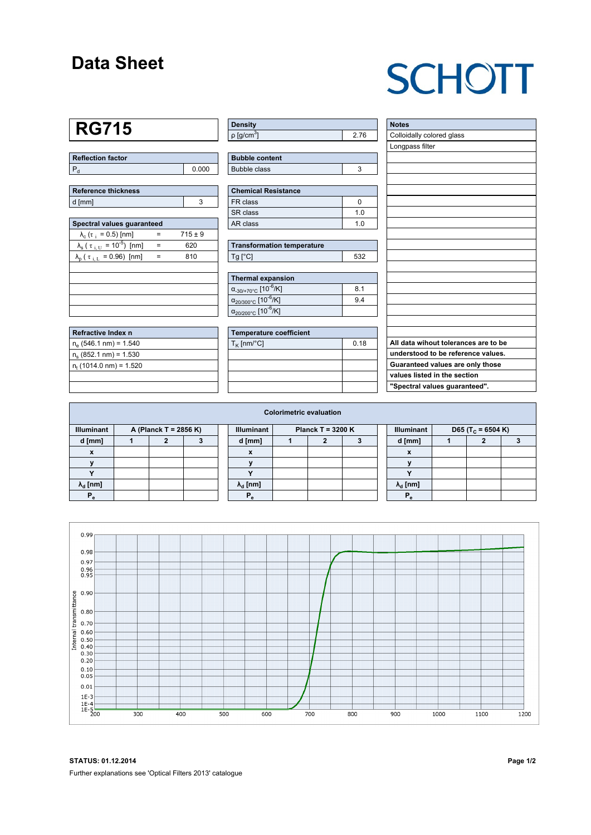#### **Data Sheet**

# **SCHOTT**

### **RG715**

| Reflection factor |     |
|-------------------|-----|
|                   | 000 |

| Reference thickness |  |
|---------------------|--|
| d [mm]              |  |

| Spectral values quaranteed                             |     |             |  |  |  |  |  |  |  |
|--------------------------------------------------------|-----|-------------|--|--|--|--|--|--|--|
| $\lambda_c$ ( $\tau_i$ = 0.5) [nm]                     |     | $715 \pm 9$ |  |  |  |  |  |  |  |
| $\lambda_{\rm s}$ ( $\tau_{\rm i, U} = 10^{-5}$ ) [nm] | $=$ | 620         |  |  |  |  |  |  |  |
| $\lambda_{\rm p}$ ( $\tau_{\rm i, L}$ = 0.96) [nm]     | $=$ | 810         |  |  |  |  |  |  |  |
|                                                        |     |             |  |  |  |  |  |  |  |
|                                                        |     |             |  |  |  |  |  |  |  |
|                                                        |     |             |  |  |  |  |  |  |  |
|                                                        |     |             |  |  |  |  |  |  |  |
|                                                        |     |             |  |  |  |  |  |  |  |

| Refractive Index n        |  |
|---------------------------|--|
| $n_e$ (546.1 nm) = 1.540  |  |
| $n_e$ (852.1 nm) = 1.530  |  |
| $n_t$ (1014.0 nm) = 1.520 |  |
|                           |  |

| <b>Density</b>              |    |
|-----------------------------|----|
| $\rho$ [g/cm <sup>3</sup> ] | 76 |

| <b>Bubble content</b> |  |
|-----------------------|--|
| Bubble class          |  |

| Chemical Resistance |     |  |  |  |  |  |
|---------------------|-----|--|--|--|--|--|
| FR class            |     |  |  |  |  |  |
| SR class            | 1 N |  |  |  |  |  |
| l AR class          | 1 በ |  |  |  |  |  |

| <b>Transformation temperature</b> |     |  |  |  |  |  |
|-----------------------------------|-----|--|--|--|--|--|
| $Tg$ [ $^{\circ}$ C]              | 532 |  |  |  |  |  |

| Thermal expansion                                 |     |
|---------------------------------------------------|-----|
| $\alpha_{.30/+70\degree}$ C [10 <sup>-6</sup> /K] | 8.1 |
| $\alpha_{20/300^{\circ}C}$ [10 <sup>-6</sup> /K]  | 94  |
| $\alpha_{20/200^{\circ}C}$ [10 <sup>-6</sup> /K]  |     |

| Temperature coefficient |      |  |  |  |  |  |
|-------------------------|------|--|--|--|--|--|
| $T_{\rm K}$ [nm/°C]     | 0.18 |  |  |  |  |  |
|                         |      |  |  |  |  |  |
|                         |      |  |  |  |  |  |
|                         |      |  |  |  |  |  |
|                         |      |  |  |  |  |  |

| <b>Notes</b>                         |
|--------------------------------------|
| Colloidally colored glass            |
| Longpass filter                      |
|                                      |
|                                      |
|                                      |
|                                      |
|                                      |
|                                      |
|                                      |
|                                      |
|                                      |
|                                      |
|                                      |
|                                      |
|                                      |
|                                      |
|                                      |
|                                      |
|                                      |
| All data wihout tolerances are to be |
| understood to be reference values.   |
| Guaranteed values are only those     |
| values listed in the section         |
| "Spectral values guaranteed".        |

| <b>Colorimetric evaluation</b>             |  |  |  |  |                                          |  |  |  |  |                           |                               |  |  |
|--------------------------------------------|--|--|--|--|------------------------------------------|--|--|--|--|---------------------------|-------------------------------|--|--|
| <b>Illuminant</b><br>A (Planck T = 2856 K) |  |  |  |  | <b>Illuminant</b><br>Planck T = $3200 K$ |  |  |  |  | <b>Illuminant</b>         | D65 (T <sub>c</sub> = 6504 K) |  |  |
| d [mm]                                     |  |  |  |  | d [mm]                                   |  |  |  |  | d [mm]                    |                               |  |  |
| X                                          |  |  |  |  | X                                        |  |  |  |  | $\boldsymbol{\mathsf{x}}$ |                               |  |  |
|                                            |  |  |  |  |                                          |  |  |  |  |                           |                               |  |  |
|                                            |  |  |  |  |                                          |  |  |  |  | $\cdot$                   |                               |  |  |
| $\lambda_{\rm d}$ [nm]                     |  |  |  |  | $\lambda_{\rm d}$ [nm]                   |  |  |  |  | $\lambda_{\rm d}$ [nm]    |                               |  |  |
| $P_e$                                      |  |  |  |  | $P_{a}$                                  |  |  |  |  |                           |                               |  |  |